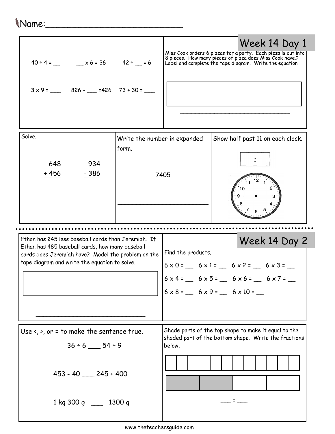## Name:\_\_\_\_\_\_\_\_\_\_\_\_\_\_\_\_\_\_\_\_\_\_\_\_\_

| $40 \div 4 =$ $x6 = 36$ $42 \div 5 = 6$                                                                                                                                                                       |                                       |                    | Week 14 Day 1<br>Miss Cook orders 6 pizzas for a party. Each pizza is cut into<br>8 pieces. How many pieces of pizza does Miss Cook have.?<br>Label and complete the tape diagram. Write the equation. |
|---------------------------------------------------------------------------------------------------------------------------------------------------------------------------------------------------------------|---------------------------------------|--------------------|--------------------------------------------------------------------------------------------------------------------------------------------------------------------------------------------------------|
| Solve.<br>934<br>648<br>- 386<br>+ 456                                                                                                                                                                        | Write the number in expanded<br>form. | 7405               | Show half past 11 on each clock.                                                                                                                                                                       |
| Ethan has 245 less baseball cards than Jeremiah. If<br>Ethan has 485 baseball cards, how many baseball<br>cards does Jeremiah have? Model the problem on the<br>tape diagram and write the equation to solve. |                                       |                    |                                                                                                                                                                                                        |
|                                                                                                                                                                                                               |                                       | Find the products. | Week 14 Day 2<br>$6 \times 0 =$ $6 \times 1 =$ $6 \times 2 =$ $6 \times 3 =$<br>$6 \times 4 =$ $6 \times 5 =$ $6 \times 6 =$ $6 \times 7 =$<br>$6 \times 8 =$ $6 \times 9 =$ $6 \times 10 =$           |
| Use $\langle$ , $\rangle$ , or = to make the sentence true.<br>$36 \div 6$ ___ 54 ÷ 9                                                                                                                         |                                       | below.             | Shade parts of the top shape to make it equal to the<br>shaded part of the bottom shape. Write the fractions                                                                                           |
| $453 - 40$ 245 + 400                                                                                                                                                                                          |                                       |                    |                                                                                                                                                                                                        |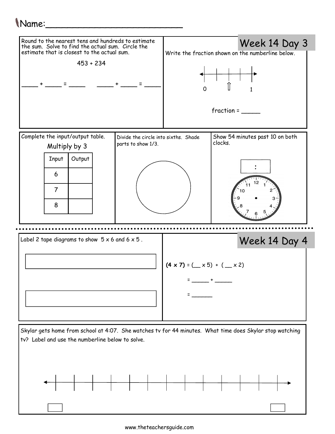## Name:\_\_\_\_\_\_\_\_\_\_\_\_\_\_\_\_\_\_\_\_\_\_\_\_\_